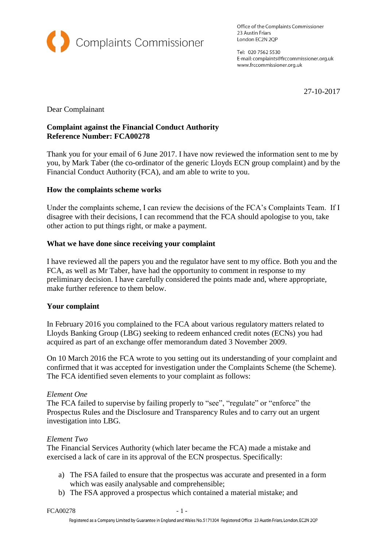

Office of the Complaints Commissioner 23 Austin Friars London EC2N 2QP

Tel: 020 7562 5530 E-mail: complaints@frccommissioner.org.uk www.frccommissioner.org.uk

27-10-2017

Dear Complainant

### **Complaint against the Financial Conduct Authority Reference Number: FCA00278**

Thank you for your email of 6 June 2017. I have now reviewed the information sent to me by you, by Mark Taber (the co-ordinator of the generic Lloyds ECN group complaint) and by the Financial Conduct Authority (FCA), and am able to write to you*.*

# **How the complaints scheme works**

Under the complaints scheme, I can review the decisions of the FCA's Complaints Team. If I disagree with their decisions, I can recommend that the FCA should apologise to you, take other action to put things right, or make a payment.

### **What we have done since receiving your complaint**

I have reviewed all the papers you and the regulator have sent to my office. Both you and the FCA, as well as Mr Taber, have had the opportunity to comment in response to my preliminary decision. I have carefully considered the points made and, where appropriate, make further reference to them below.

### **Your complaint**

In February 2016 you complained to the FCA about various regulatory matters related to Lloyds Banking Group (LBG) seeking to redeem enhanced credit notes (ECNs) you had acquired as part of an exchange offer memorandum dated 3 November 2009.

On 10 March 2016 the FCA wrote to you setting out its understanding of your complaint and confirmed that it was accepted for investigation under the Complaints Scheme (the Scheme). The FCA identified seven elements to your complaint as follows:

### *Element One*

The FCA failed to supervise by failing properly to "see", "regulate" or "enforce" the Prospectus Rules and the Disclosure and Transparency Rules and to carry out an urgent investigation into LBG.

### *Element Two*

The Financial Services Authority (which later became the FCA) made a mistake and exercised a lack of care in its approval of the ECN prospectus. Specifically:

- a) The FSA failed to ensure that the prospectus was accurate and presented in a form which was easily analysable and comprehensible;
- b) The FSA approved a prospectus which contained a material mistake; and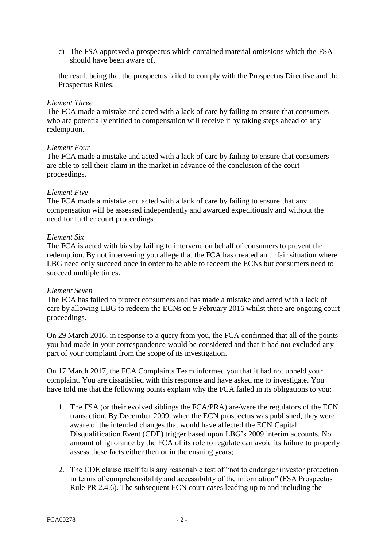c) The FSA approved a prospectus which contained material omissions which the FSA should have been aware of,

the result being that the prospectus failed to comply with the Prospectus Directive and the Prospectus Rules.

### *Element Three*

The FCA made a mistake and acted with a lack of care by failing to ensure that consumers who are potentially entitled to compensation will receive it by taking steps ahead of any redemption.

### *Element Four*

The FCA made a mistake and acted with a lack of care by failing to ensure that consumers are able to sell their claim in the market in advance of the conclusion of the court proceedings.

### *Element Five*

The FCA made a mistake and acted with a lack of care by failing to ensure that any compensation will be assessed independently and awarded expeditiously and without the need for further court proceedings.

### *Element Six*

The FCA is acted with bias by failing to intervene on behalf of consumers to prevent the redemption. By not intervening you allege that the FCA has created an unfair situation where LBG need only succeed once in order to be able to redeem the ECNs but consumers need to succeed multiple times.

### *Element Seven*

The FCA has failed to protect consumers and has made a mistake and acted with a lack of care by allowing LBG to redeem the ECNs on 9 February 2016 whilst there are ongoing court proceedings.

On 29 March 2016, in response to a query from you, the FCA confirmed that all of the points you had made in your correspondence would be considered and that it had not excluded any part of your complaint from the scope of its investigation.

On 17 March 2017, the FCA Complaints Team informed you that it had not upheld your complaint. You are dissatisfied with this response and have asked me to investigate. You have told me that the following points explain why the FCA failed in its obligations to you:

- 1. The FSA (or their evolved siblings the FCA/PRA) are/were the regulators of the ECN transaction. By December 2009, when the ECN prospectus was published, they were aware of the intended changes that would have affected the ECN Capital Disqualification Event (CDE) trigger based upon LBG's 2009 interim accounts. No amount of ignorance by the FCA of its role to regulate can avoid its failure to properly assess these facts either then or in the ensuing years;
- 2. The CDE clause itself fails any reasonable test of "not to endanger investor protection in terms of comprehensibility and accessibility of the information" (FSA Prospectus Rule PR 2.4.6). The subsequent ECN court cases leading up to and including the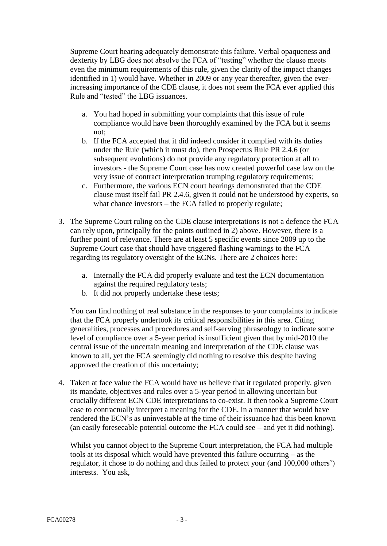Supreme Court hearing adequately demonstrate this failure. Verbal opaqueness and dexterity by LBG does not absolve the FCA of "testing" whether the clause meets even the minimum requirements of this rule, given the clarity of the impact changes identified in 1) would have. Whether in 2009 or any year thereafter, given the everincreasing importance of the CDE clause, it does not seem the FCA ever applied this Rule and "tested" the LBG issuances.

- a. You had hoped in submitting your complaints that this issue of rule compliance would have been thoroughly examined by the FCA but it seems not;
- b. If the FCA accepted that it did indeed consider it complied with its duties under the Rule (which it must do), then Prospectus Rule PR 2.4.6 (or subsequent evolutions) do not provide any regulatory protection at all to investors - the Supreme Court case has now created powerful case law on the very issue of contract interpretation trumping regulatory requirements;
- c. Furthermore, the various ECN court hearings demonstrated that the CDE clause must itself fail PR 2.4.6, given it could not be understood by experts, so what chance investors – the FCA failed to properly regulate;
- 3. The Supreme Court ruling on the CDE clause interpretations is not a defence the FCA can rely upon, principally for the points outlined in 2) above. However, there is a further point of relevance. There are at least 5 specific events since 2009 up to the Supreme Court case that should have triggered flashing warnings to the FCA regarding its regulatory oversight of the ECNs. There are 2 choices here:
	- a. Internally the FCA did properly evaluate and test the ECN documentation against the required regulatory tests;
	- b. It did not properly undertake these tests;

You can find nothing of real substance in the responses to your complaints to indicate that the FCA properly undertook its critical responsibilities in this area. Citing generalities, processes and procedures and self-serving phraseology to indicate some level of compliance over a 5-year period is insufficient given that by mid-2010 the central issue of the uncertain meaning and interpretation of the CDE clause was known to all, yet the FCA seemingly did nothing to resolve this despite having approved the creation of this uncertainty;

4. Taken at face value the FCA would have us believe that it regulated properly, given its mandate, objectives and rules over a 5-year period in allowing uncertain but crucially different ECN CDE interpretations to co-exist. It then took a Supreme Court case to contractually interpret a meaning for the CDE, in a manner that would have rendered the ECN's as uninvestable at the time of their issuance had this been known (an easily foreseeable potential outcome the FCA could see – and yet it did nothing).

Whilst you cannot object to the Supreme Court interpretation, the FCA had multiple tools at its disposal which would have prevented this failure occurring – as the regulator, it chose to do nothing and thus failed to protect your (and 100,000 others') interests. You ask,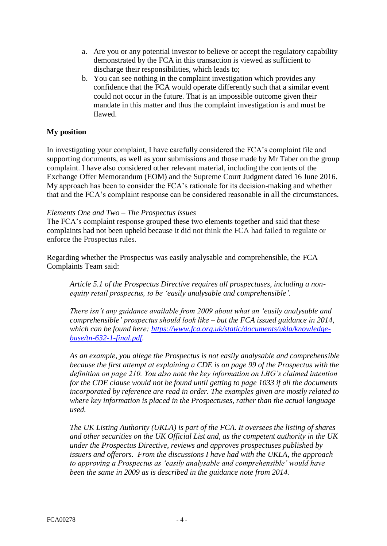- a. Are you or any potential investor to believe or accept the regulatory capability demonstrated by the FCA in this transaction is viewed as sufficient to discharge their responsibilities, which leads to;
- b. You can see nothing in the complaint investigation which provides any confidence that the FCA would operate differently such that a similar event could not occur in the future. That is an impossible outcome given their mandate in this matter and thus the complaint investigation is and must be flawed.

# **My position**

In investigating your complaint, I have carefully considered the FCA's complaint file and supporting documents, as well as your submissions and those made by Mr Taber on the group complaint. I have also considered other relevant material, including the contents of the Exchange Offer Memorandum (EOM) and the Supreme Court Judgment dated 16 June 2016. My approach has been to consider the FCA's rationale for its decision-making and whether that and the FCA's complaint response can be considered reasonable in all the circumstances.

### *Elements One and Two – The Prospectus issues*

The FCA's complaint response grouped these two elements together and said that these complaints had not been upheld because it did not think the FCA had failed to regulate or enforce the Prospectus rules.

Regarding whether the Prospectus was easily analysable and comprehensible, the FCA Complaints Team said:

*Article 5.1 of the Prospectus Directive requires all prospectuses, including a nonequity retail prospectus, to be 'easily analysable and comprehensible'.* 

*There isn't any guidance available from 2009 about what an 'easily analysable and comprehensible' prospectus should look like – but the FCA issued guidance in 2014, which can be found here: [https://www.fca.org.uk/static/documents/ukla/knowledge](https://www.fca.org.uk/static/documents/ukla/knowledge-base/tn-632-1-final.pdf)[base/tn-632-1-final.pdf.](https://www.fca.org.uk/static/documents/ukla/knowledge-base/tn-632-1-final.pdf)* 

*As an example, you allege the Prospectus is not easily analysable and comprehensible because the first attempt at explaining a CDE is on page 99 of the Prospectus with the definition on page 210. You also note the key information on LBG's claimed intention for the CDE clause would not be found until getting to page 1033 if all the documents incorporated by reference are read in order. The examples given are mostly related to where key information is placed in the Prospectuses, rather than the actual language used.*

*The UK Listing Authority (UKLA) is part of the FCA. It oversees the listing of shares and other securities on the UK Official List and, as the competent authority in the UK under the Prospectus Directive, reviews and approves prospectuses published by issuers and offerors. From the discussions I have had with the UKLA, the approach to approving a Prospectus as 'easily analysable and comprehensible' would have been the same in 2009 as is described in the guidance note from 2014.*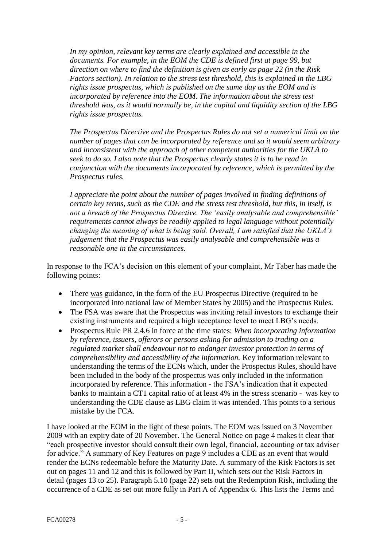*In my opinion, relevant key terms are clearly explained and accessible in the documents. For example, in the EOM the CDE is defined first at page 99, but direction on where to find the definition is given as early as page 22 (in the Risk Factors section). In relation to the stress test threshold, this is explained in the LBG rights issue prospectus, which is published on the same day as the EOM and is incorporated by reference into the EOM. The information about the stress test threshold was, as it would normally be, in the capital and liquidity section of the LBG rights issue prospectus.*

*The Prospectus Directive and the Prospectus Rules do not set a numerical limit on the number of pages that can be incorporated by reference and so it would seem arbitrary and inconsistent with the approach of other competent authorities for the UKLA to seek to do so. I also note that the Prospectus clearly states it is to be read in conjunction with the documents incorporated by reference, which is permitted by the Prospectus rules.*

*I appreciate the point about the number of pages involved in finding definitions of certain key terms, such as the CDE and the stress test threshold, but this, in itself, is not a breach of the Prospectus Directive. The 'easily analysable and comprehensible' requirements cannot always be readily applied to legal language without potentially changing the meaning of what is being said. Overall, I am satisfied that the UKLA's judgement that the Prospectus was easily analysable and comprehensible was a reasonable one in the circumstances.*

In response to the FCA's decision on this element of your complaint, Mr Taber has made the following points:

- There was guidance, in the form of the EU Prospectus Directive (required to be incorporated into national law of Member States by 2005) and the Prospectus Rules.
- The FSA was aware that the Prospectus was inviting retail investors to exchange their existing instruments and required a high acceptance level to meet LBG's needs.
- Prospectus Rule PR 2.4.6 in force at the time states: *When incorporating information by reference, issuers, offerors or persons asking for admission to trading on a regulated market shall endeavour not to endanger investor protection in terms of comprehensibility and accessibility of the information.* Key information relevant to understanding the terms of the ECNs which, under the Prospectus Rules, should have been included in the body of the prospectus was only included in the information incorporated by reference. This information - the FSA's indication that it expected banks to maintain a CT1 capital ratio of at least 4% in the stress scenario - was key to understanding the CDE clause as LBG claim it was intended. This points to a serious mistake by the FCA.

I have looked at the EOM in the light of these points. The EOM was issued on 3 November 2009 with an expiry date of 20 November. The General Notice on page 4 makes it clear that "each prospective investor should consult their own legal, financial, accounting or tax adviser for advice." A summary of Key Features on page 9 includes a CDE as an event that would render the ECNs redeemable before the Maturity Date. A summary of the Risk Factors is set out on pages 11 and 12 and this is followed by Part II, which sets out the Risk Factors in detail (pages 13 to 25). Paragraph 5.10 (page 22) sets out the Redemption Risk, including the occurrence of a CDE as set out more fully in Part A of Appendix 6. This lists the Terms and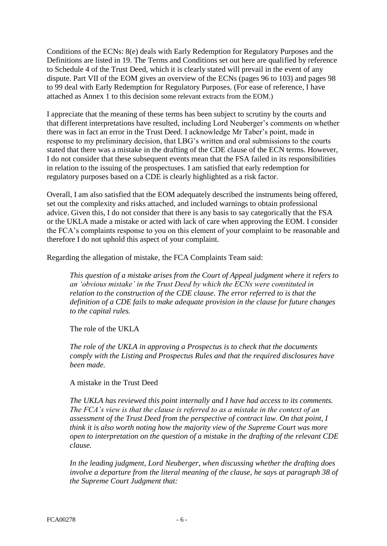Conditions of the ECNs: 8(e) deals with Early Redemption for Regulatory Purposes and the Definitions are listed in 19. The Terms and Conditions set out here are qualified by reference to Schedule 4 of the Trust Deed, which it is clearly stated will prevail in the event of any dispute. Part VII of the EOM gives an overview of the ECNs (pages 96 to 103) and pages 98 to 99 deal with Early Redemption for Regulatory Purposes. (For ease of reference, I have attached as Annex 1 to this decision some relevant extracts from the EOM.)

I appreciate that the meaning of these terms has been subject to scrutiny by the courts and that different interpretations have resulted, including Lord Neuberger's comments on whether there was in fact an error in the Trust Deed. I acknowledge Mr Taber's point, made in response to my preliminary decision, that LBG's written and oral submissions to the courts stated that there was a mistake in the drafting of the CDE clause of the ECN terms. However, I do not consider that these subsequent events mean that the FSA failed in its responsibilities in relation to the issuing of the prospectuses. I am satisfied that early redemption for regulatory purposes based on a CDE is clearly highlighted as a risk factor.

Overall, I am also satisfied that the EOM adequately described the instruments being offered, set out the complexity and risks attached, and included warnings to obtain professional advice. Given this, I do not consider that there is any basis to say categorically that the FSA or the UKLA made a mistake or acted with lack of care when approving the EOM. I consider the FCA's complaints response to you on this element of your complaint to be reasonable and therefore I do not uphold this aspect of your complaint.

Regarding the allegation of mistake, the FCA Complaints Team said:

*This question of a mistake arises from the Court of Appeal judgment where it refers to an 'obvious mistake' in the Trust Deed by which the ECNs were constituted in relation to the construction of the CDE clause. The error referred to is that the definition of a CDE fails to make adequate provision in the clause for future changes to the capital rules.* 

The role of the UKLA

*The role of the UKLA in approving a Prospectus is to check that the documents comply with the Listing and Prospectus Rules and that the required disclosures have been made.* 

A mistake in the Trust Deed

*The UKLA has reviewed this point internally and I have had access to its comments. The FCA's view is that the clause is referred to as a mistake in the context of an assessment of the Trust Deed from the perspective of contract law. On that point, I think it is also worth noting how the majority view of the Supreme Court was more open to interpretation on the question of a mistake in the drafting of the relevant CDE clause.*

*In the leading judgment, Lord Neuberger, when discussing whether the drafting does involve a departure from the literal meaning of the clause, he says at paragraph 38 of the Supreme Court Judgment that:*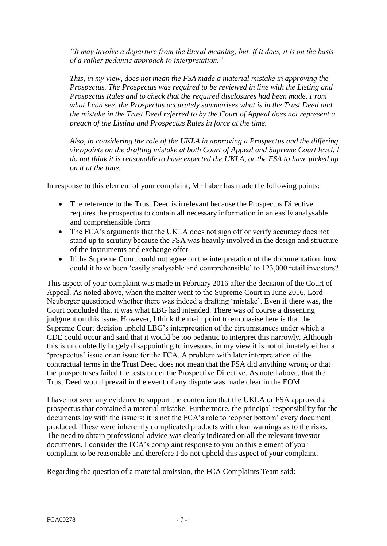*"It may involve a departure from the literal meaning, but, if it does, it is on the basis of a rather pedantic approach to interpretation."*

*This, in my view, does not mean the FSA made a material mistake in approving the Prospectus. The Prospectus was required to be reviewed in line with the Listing and Prospectus Rules and to check that the required disclosures had been made. From what I can see, the Prospectus accurately summarises what is in the Trust Deed and the mistake in the Trust Deed referred to by the Court of Appeal does not represent a breach of the Listing and Prospectus Rules in force at the time.*

*Also, in considering the role of the UKLA in approving a Prospectus and the differing viewpoints on the drafting mistake at both Court of Appeal and Supreme Court level, I do not think it is reasonable to have expected the UKLA, or the FSA to have picked up on it at the time.*

In response to this element of your complaint, Mr Taber has made the following points:

- The reference to the Trust Deed is irrelevant because the Prospectus Directive requires the prospectus to contain all necessary information in an easily analysable and comprehensible form
- The FCA's arguments that the UKLA does not sign off or verify accuracy does not stand up to scrutiny because the FSA was heavily involved in the design and structure of the instruments and exchange offer
- If the Supreme Court could not agree on the interpretation of the documentation, how could it have been 'easily analysable and comprehensible' to 123,000 retail investors?

This aspect of your complaint was made in February 2016 after the decision of the Court of Appeal. As noted above, when the matter went to the Supreme Court in June 2016, Lord Neuberger questioned whether there was indeed a drafting 'mistake'. Even if there was, the Court concluded that it was what LBG had intended. There was of course a dissenting judgment on this issue. However, I think the main point to emphasise here is that the Supreme Court decision upheld LBG's interpretation of the circumstances under which a CDE could occur and said that it would be too pedantic to interpret this narrowly. Although this is undoubtedly hugely disappointing to investors, in my view it is not ultimately either a 'prospectus' issue or an issue for the FCA. A problem with later interpretation of the contractual terms in the Trust Deed does not mean that the FSA did anything wrong or that the prospectuses failed the tests under the Prospective Directive. As noted above, that the Trust Deed would prevail in the event of any dispute was made clear in the EOM.

I have not seen any evidence to support the contention that the UKLA or FSA approved a prospectus that contained a material mistake. Furthermore, the principal responsibility for the documents lay with the issuers: it is not the FCA's role to 'copper bottom' every document produced. These were inherently complicated products with clear warnings as to the risks. The need to obtain professional advice was clearly indicated on all the relevant investor documents. I consider the FCA's complaint response to you on this element of your complaint to be reasonable and therefore I do not uphold this aspect of your complaint.

Regarding the question of a material omission, the FCA Complaints Team said: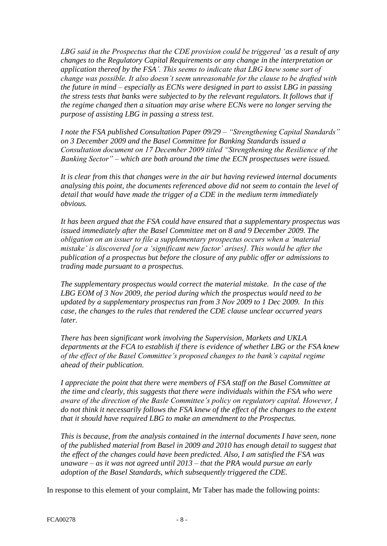*LBG said in the Prospectus that the CDE provision could be triggered 'as a result of any changes to the Regulatory Capital Requirements or any change in the interpretation or application thereof by the FSA'. This seems to indicate that LBG knew some sort of change was possible. It also doesn't seem unreasonable for the clause to be drafted with the future in mind – especially as ECNs were designed in part to assist LBG in passing the stress tests that banks were subjected to by the relevant regulators. It follows that if the regime changed then a situation may arise where ECNs were no longer serving the purpose of assisting LBG in passing a stress test.* 

*I note the FSA published Consultation Paper 09/29 – "Strengthening Capital Standards" on 3 December 2009 and the Basel Committee for Banking Standards issued a Consultation document on 17 December 2009 titled "Strengthening the Resilience of the Banking Sector" – which are both around the time the ECN prospectuses were issued.* 

*It is clear from this that changes were in the air but having reviewed internal documents analysing this point, the documents referenced above did not seem to contain the level of detail that would have made the trigger of a CDE in the medium term immediately obvious.* 

*It has been argued that the FSA could have ensured that a supplementary prospectus was issued immediately after the Basel Committee met on 8 and 9 December 2009. The obligation on an issuer to file a supplementary prospectus occurs when a 'material mistake' is discovered [or a 'significant new factor' arises]. This would be after the publication of a prospectus but before the closure of any public offer or admissions to trading made pursuant to a prospectus.* 

*The supplementary prospectus would correct the material mistake. In the case of the LBG EOM of 3 Nov 2009, the period during which the prospectus would need to be updated by a supplementary prospectus ran from 3 Nov 2009 to 1 Dec 2009. In this case, the changes to the rules that rendered the CDE clause unclear occurred years later.*

*There has been significant work involving the Supervision, Markets and UKLA departments at the FCA to establish if there is evidence of whether LBG or the FSA knew of the effect of the Basel Committee's proposed changes to the bank's capital regime ahead of their publication.* 

*I appreciate the point that there were members of FSA staff on the Basel Committee at the time and clearly, this suggests that there were individuals within the FSA who were aware of the direction of the Basle Committee's policy on regulatory capital. However, I do not think it necessarily follows the FSA knew of the effect of the changes to the extent that it should have required LBG to make an amendment to the Prospectus.*

*This is because, from the analysis contained in the internal documents I have seen, none of the published material from Basel in 2009 and 2010 has enough detail to suggest that the effect of the changes could have been predicted. Also, I am satisfied the FSA was unaware – as it was not agreed until 2013 – that the PRA would pursue an early adoption of the Basel Standards, which subsequently triggered the CDE.* 

In response to this element of your complaint, Mr Taber has made the following points: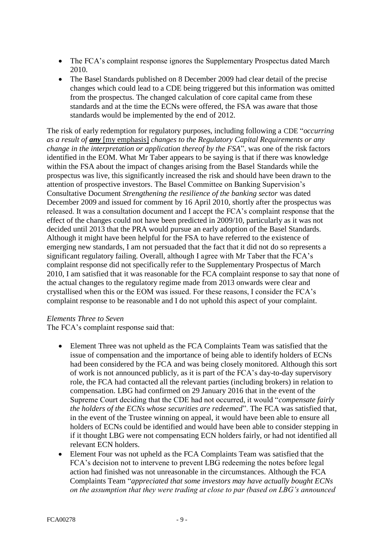- The FCA's complaint response ignores the Supplementary Prospectus dated March 2010.
- The Basel Standards published on 8 December 2009 had clear detail of the precise changes which could lead to a CDE being triggered but this information was omitted from the prospectus. The changed calculation of core capital came from these standards and at the time the ECNs were offered, the FSA was aware that those standards would be implemented by the end of 2012.

The risk of early redemption for regulatory purposes, including following a CDE "*occurring as a result of any* [my emphasis] *changes to the Regulatory Capital Requirements or any change in the interpretation or application thereof by the FSA*", was one of the risk factors identified in the EOM. What Mr Taber appears to be saying is that if there was knowledge within the FSA about the impact of changes arising from the Basel Standards while the prospectus was live, this significantly increased the risk and should have been drawn to the attention of prospective investors. The Basel Committee on Banking Supervision's Consultative Document *Strengthening the resilience of the banking sector* was dated December 2009 and issued for comment by 16 April 2010, shortly after the prospectus was released. It was a consultation document and I accept the FCA's complaint response that the effect of the changes could not have been predicted in 2009/10, particularly as it was not decided until 2013 that the PRA would pursue an early adoption of the Basel Standards. Although it might have been helpful for the FSA to have referred to the existence of emerging new standards, I am not persuaded that the fact that it did not do so represents a significant regulatory failing. Overall, although I agree with Mr Taber that the FCA's complaint response did not specifically refer to the Supplementary Prospectus of March 2010, I am satisfied that it was reasonable for the FCA complaint response to say that none of the actual changes to the regulatory regime made from 2013 onwards were clear and crystallised when this or the EOM was issued. For these reasons, I consider the FCA's complaint response to be reasonable and I do not uphold this aspect of your complaint.

# *Elements Three to Seven*

The FCA's complaint response said that:

- Element Three was not upheld as the FCA Complaints Team was satisfied that the issue of compensation and the importance of being able to identify holders of ECNs had been considered by the FCA and was being closely monitored. Although this sort of work is not announced publicly, as it is part of the FCA's day-to-day supervisory role, the FCA had contacted all the relevant parties (including brokers) in relation to compensation. LBG had confirmed on 29 January 2016 that in the event of the Supreme Court deciding that the CDE had not occurred, it would "*compensate fairly the holders of the ECNs whose securities are redeemed*". The FCA was satisfied that, in the event of the Trustee winning on appeal, it would have been able to ensure all holders of ECNs could be identified and would have been able to consider stepping in if it thought LBG were not compensating ECN holders fairly, or had not identified all relevant ECN holders.
- Element Four was not upheld as the FCA Complaints Team was satisfied that the FCA's decision not to intervene to prevent LBG redeeming the notes before legal action had finished was not unreasonable in the circumstances. Although the FCA Complaints Team "*appreciated that some investors may have actually bought ECNs on the assumption that they were trading at close to par (based on LBG's announced*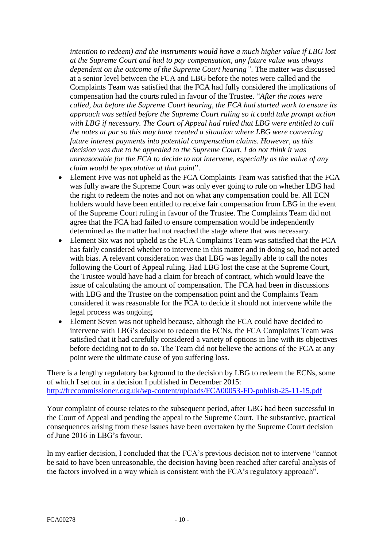*intention to redeem) and the instruments would have a much higher value if LBG lost at the Supreme Court and had to pay compensation, any future value was always dependent on the outcome of the Supreme Court hearing"*. The matter was discussed at a senior level between the FCA and LBG before the notes were called and the Complaints Team was satisfied that the FCA had fully considered the implications of compensation had the courts ruled in favour of the Trustee. "*After the notes were called, but before the Supreme Court hearing, the FCA had started work to ensure its approach was settled before the Supreme Court ruling so it could take prompt action with LBG if necessary. The Court of Appeal had ruled that LBG were entitled to call the notes at par so this may have created a situation where LBG were converting future interest payments into potential compensation claims. However, as this decision was due to be appealed to the Supreme Court, I do not think it was unreasonable for the FCA to decide to not intervene, especially as the value of any claim would be speculative at that point*".

- Element Five was not upheld as the FCA Complaints Team was satisfied that the FCA was fully aware the Supreme Court was only ever going to rule on whether LBG had the right to redeem the notes and not on what any compensation could be. All ECN holders would have been entitled to receive fair compensation from LBG in the event of the Supreme Court ruling in favour of the Trustee. The Complaints Team did not agree that the FCA had failed to ensure compensation would be independently determined as the matter had not reached the stage where that was necessary.
- Element Six was not upheld as the FCA Complaints Team was satisfied that the FCA has fairly considered whether to intervene in this matter and in doing so, had not acted with bias. A relevant consideration was that LBG was legally able to call the notes following the Court of Appeal ruling. Had LBG lost the case at the Supreme Court, the Trustee would have had a claim for breach of contract, which would leave the issue of calculating the amount of compensation. The FCA had been in discussions with LBG and the Trustee on the compensation point and the Complaints Team considered it was reasonable for the FCA to decide it should not intervene while the legal process was ongoing.
- Element Seven was not upheld because, although the FCA could have decided to intervene with LBG's decision to redeem the ECNs, the FCA Complaints Team was satisfied that it had carefully considered a variety of options in line with its objectives before deciding not to do so. The Team did not believe the actions of the FCA at any point were the ultimate cause of you suffering loss.

There is a lengthy regulatory background to the decision by LBG to redeem the ECNs, some of which I set out in a decision I published in December 2015: <http://frccommissioner.org.uk/wp-content/uploads/FCA00053-FD-publish-25-11-15.pdf>

Your complaint of course relates to the subsequent period, after LBG had been successful in the Court of Appeal and pending the appeal to the Supreme Court. The substantive, practical consequences arising from these issues have been overtaken by the Supreme Court decision of June 2016 in LBG's favour.

In my earlier decision, I concluded that the FCA's previous decision not to intervene "cannot be said to have been unreasonable, the decision having been reached after careful analysis of the factors involved in a way which is consistent with the FCA's regulatory approach".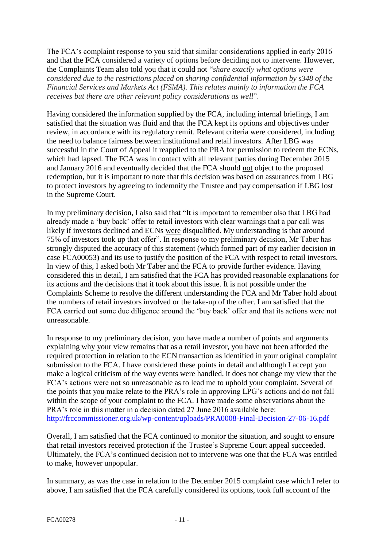The FCA's complaint response to you said that similar considerations applied in early 2016 and that the FCA considered a variety of options before deciding not to intervene. However, the Complaints Team also told you that it could not "*share exactly what options were considered due to the restrictions placed on sharing confidential information by s348 of the Financial Services and Markets Act (FSMA). This relates mainly to information the FCA receives but there are other relevant policy considerations as well*".

Having considered the information supplied by the FCA, including internal briefings, I am satisfied that the situation was fluid and that the FCA kept its options and objectives under review, in accordance with its regulatory remit. Relevant criteria were considered, including the need to balance fairness between institutional and retail investors. After LBG was successful in the Court of Appeal it reapplied to the PRA for permission to redeem the ECNs, which had lapsed. The FCA was in contact with all relevant parties during December 2015 and January 2016 and eventually decided that the FCA should not object to the proposed redemption, but it is important to note that this decision was based on assurances from LBG to protect investors by agreeing to indemnify the Trustee and pay compensation if LBG lost in the Supreme Court.

In my preliminary decision, I also said that "It is important to remember also that LBG had already made a 'buy back' offer to retail investors with clear warnings that a par call was likely if investors declined and ECNs were disqualified. My understanding is that around 75% of investors took up that offer". In response to my preliminary decision, Mr Taber has strongly disputed the accuracy of this statement (which formed part of my earlier decision in case FCA00053) and its use to justify the position of the FCA with respect to retail investors. In view of this, I asked both Mr Taber and the FCA to provide further evidence. Having considered this in detail, I am satisfied that the FCA has provided reasonable explanations for its actions and the decisions that it took about this issue. It is not possible under the Complaints Scheme to resolve the different understanding the FCA and Mr Taber hold about the numbers of retail investors involved or the take-up of the offer. I am satisfied that the FCA carried out some due diligence around the 'buy back' offer and that its actions were not unreasonable.

In response to my preliminary decision, you have made a number of points and arguments explaining why your view remains that as a retail investor, you have not been afforded the required protection in relation to the ECN transaction as identified in your original complaint submission to the FCA. I have considered these points in detail and although I accept you make a logical criticism of the way events were handled, it does not change my view that the FCA's actions were not so unreasonable as to lead me to uphold your complaint. Several of the points that you make relate to the PRA's role in approving LPG's actions and do not fall within the scope of your complaint to the FCA. I have made some observations about the PRA's role in this matter in a decision dated 27 June 2016 available here: <http://frccommissioner.org.uk/wp-content/uploads/PRA0008-Final-Decision-27-06-16.pdf>

Overall, I am satisfied that the FCA continued to monitor the situation, and sought to ensure that retail investors received protection if the Trustee's Supreme Court appeal succeeded. Ultimately, the FCA's continued decision not to intervene was one that the FCA was entitled to make, however unpopular.

In summary, as was the case in relation to the December 2015 complaint case which I refer to above, I am satisfied that the FCA carefully considered its options, took full account of the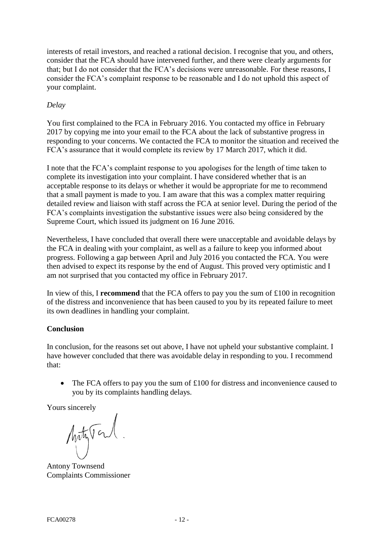interests of retail investors, and reached a rational decision. I recognise that you, and others, consider that the FCA should have intervened further, and there were clearly arguments for that; but I do not consider that the FCA's decisions were unreasonable. For these reasons, I consider the FCA's complaint response to be reasonable and I do not uphold this aspect of your complaint.

# *Delay*

You first complained to the FCA in February 2016. You contacted my office in February 2017 by copying me into your email to the FCA about the lack of substantive progress in responding to your concerns. We contacted the FCA to monitor the situation and received the FCA's assurance that it would complete its review by 17 March 2017, which it did.

I note that the FCA's complaint response to you apologises for the length of time taken to complete its investigation into your complaint. I have considered whether that is an acceptable response to its delays or whether it would be appropriate for me to recommend that a small payment is made to you. I am aware that this was a complex matter requiring detailed review and liaison with staff across the FCA at senior level. During the period of the FCA's complaints investigation the substantive issues were also being considered by the Supreme Court, which issued its judgment on 16 June 2016.

Nevertheless, I have concluded that overall there were unacceptable and avoidable delays by the FCA in dealing with your complaint, as well as a failure to keep you informed about progress. Following a gap between April and July 2016 you contacted the FCA. You were then advised to expect its response by the end of August. This proved very optimistic and I am not surprised that you contacted my office in February 2017.

In view of this, I **recommend** that the FCA offers to pay you the sum of  $\pounds100$  in recognition of the distress and inconvenience that has been caused to you by its repeated failure to meet its own deadlines in handling your complaint.

# **Conclusion**

In conclusion, for the reasons set out above, I have not upheld your substantive complaint. I have however concluded that there was avoidable delay in responding to you. I recommend that:

• The FCA offers to pay you the sum of £100 for distress and inconvenience caused to you by its complaints handling delays.

Yours sincerely

Arty Tal

Antony Townsend Complaints Commissioner